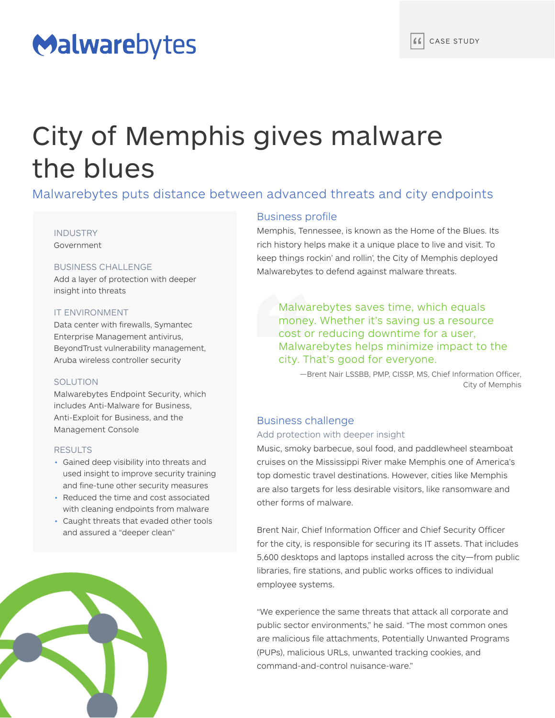## Malwarebytes

# City of Memphis gives malware the blues

Malwarebytes puts distance between advanced threats and city endpoints

## INDUSTRY Government

## BUSINESS CHALLENGE

Add a layer of protection with deeper insight into threats

## IT ENVIRONMENT

Data center with firewalls, Symantec Enterprise Management antivirus, BeyondTrust vulnerability management, Aruba wireless controller security

## SOLUTION

Malwarebytes Endpoint Security, which includes Anti-Malware for Business, Anti-Exploit for Business, and the Management Console

## RESULTS

- Gained deep visibility into threats and used insight to improve security training and fine-tune other security measures
- Reduced the time and cost associated with cleaning endpoints from malware
- Caught threats that evaded other tools and assured a "deeper clean"



## Business profile

Memphis, Tennessee, is known as the Home of the Blues. Its rich history helps make it a unique place to live and visit. To keep things rockin' and rollin', the City of Memphis deployed Malwarebytes to defend against malware threats.

Malwarebytes saves time, which equals money. Whether it's saving us a resource cost or reducing downtime for a user, Malwarebytes helps minimize impact to the city. That's good for everyone.

—Brent Nair LSSBB, PMP, CISSP, MS, Chief Information Officer, City of Memphis

## Business challenge

## Add protection with deeper insight

Music, smoky barbecue, soul food, and paddlewheel steamboat cruises on the Mississippi River make Memphis one of America's top domestic travel destinations. However, cities like Memphis are also targets for less desirable visitors, like ransomware and other forms of malware.

Brent Nair, Chief Information Officer and Chief Security Officer for the city, is responsible for securing its IT assets. That includes 5,600 desktops and laptops installed across the city—from public libraries, fire stations, and public works offices to individual employee systems.

"We experience the same threats that attack all corporate and public sector environments," he said. "The most common ones are malicious file attachments, Potentially Unwanted Programs (PUPs), malicious URLs, unwanted tracking cookies, and command-and-control nuisance-ware."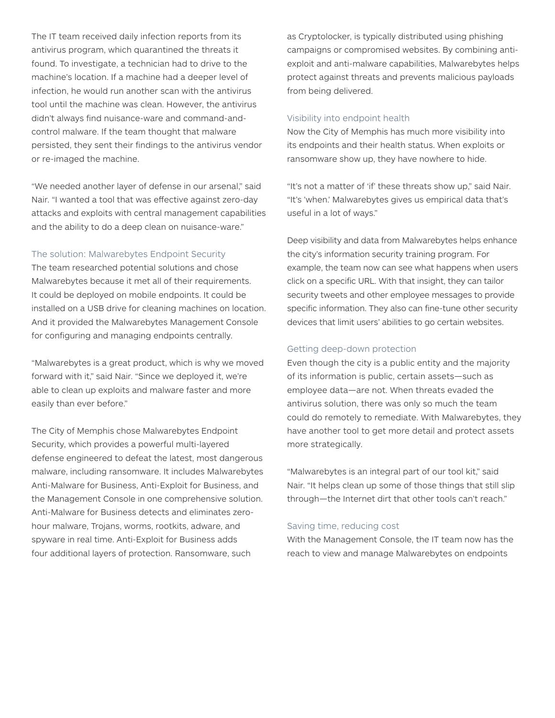The IT team received daily infection reports from its antivirus program, which quarantined the threats it found. To investigate, a technician had to drive to the machine's location. If a machine had a deeper level of infection, he would run another scan with the antivirus tool until the machine was clean. However, the antivirus didn't always find nuisance-ware and command-andcontrol malware. If the team thought that malware persisted, they sent their findings to the antivirus vendor or re-imaged the machine.

"We needed another layer of defense in our arsenal," said Nair. "I wanted a tool that was effective against zero-day attacks and exploits with central management capabilities and the ability to do a deep clean on nuisance-ware."

## The solution: Malwarebytes Endpoint Security

The team researched potential solutions and chose Malwarebytes because it met all of their requirements. It could be deployed on mobile endpoints. It could be installed on a USB drive for cleaning machines on location. And it provided the Malwarebytes Management Console for configuring and managing endpoints centrally.

"Malwarebytes is a great product, which is why we moved forward with it," said Nair. "Since we deployed it, we're able to clean up exploits and malware faster and more easily than ever before."

The City of Memphis chose Malwarebytes Endpoint Security, which provides a powerful multi-layered defense engineered to defeat the latest, most dangerous malware, including ransomware. It includes Malwarebytes Anti-Malware for Business, Anti-Exploit for Business, and the Management Console in one comprehensive solution. Anti-Malware for Business detects and eliminates zerohour malware, Trojans, worms, rootkits, adware, and spyware in real time. Anti-Exploit for Business adds four additional layers of protection. Ransomware, such

as Cryptolocker, is typically distributed using phishing campaigns or compromised websites. By combining antiexploit and anti-malware capabilities, Malwarebytes helps protect against threats and prevents malicious payloads from being delivered.

### Visibility into endpoint health

Now the City of Memphis has much more visibility into its endpoints and their health status. When exploits or ransomware show up, they have nowhere to hide.

"It's not a matter of 'if' these threats show up," said Nair. "It's 'when.' Malwarebytes gives us empirical data that's useful in a lot of ways."

Deep visibility and data from Malwarebytes helps enhance the city's information security training program. For example, the team now can see what happens when users click on a specific URL. With that insight, they can tailor security tweets and other employee messages to provide specific information. They also can fine-tune other security devices that limit users' abilities to go certain websites.

## Getting deep-down protection

Even though the city is a public entity and the majority of its information is public, certain assets—such as employee data—are not. When threats evaded the antivirus solution, there was only so much the team could do remotely to remediate. With Malwarebytes, they have another tool to get more detail and protect assets more strategically.

"Malwarebytes is an integral part of our tool kit," said Nair. "It helps clean up some of those things that still slip through—the Internet dirt that other tools can't reach."

#### Saving time, reducing cost

With the Management Console, the IT team now has the reach to view and manage Malwarebytes on endpoints